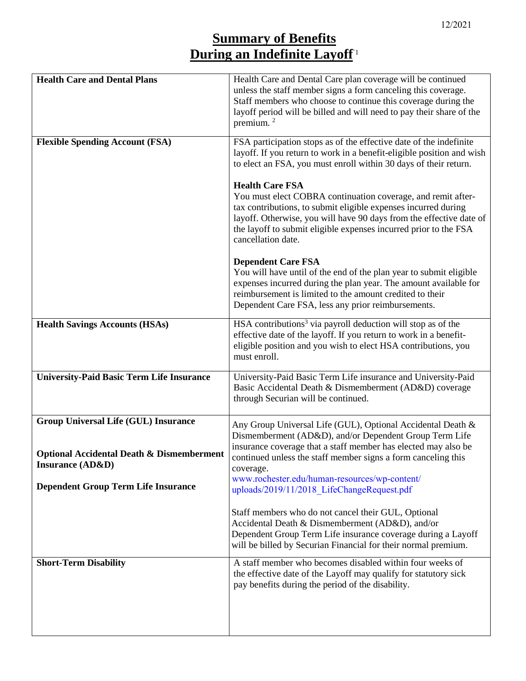## **Summary of Benefits During an Indefinite Layoff**`1

| <b>Health Care and Dental Plans</b>                                                                 | Health Care and Dental Care plan coverage will be continued<br>unless the staff member signs a form canceling this coverage.<br>Staff members who choose to continue this coverage during the<br>layoff period will be billed and will need to pay their share of the<br>premium. <sup>2</sup>                            |
|-----------------------------------------------------------------------------------------------------|---------------------------------------------------------------------------------------------------------------------------------------------------------------------------------------------------------------------------------------------------------------------------------------------------------------------------|
| <b>Flexible Spending Account (FSA)</b>                                                              | FSA participation stops as of the effective date of the indefinite<br>layoff. If you return to work in a benefit-eligible position and wish<br>to elect an FSA, you must enroll within 30 days of their return.                                                                                                           |
|                                                                                                     | <b>Health Care FSA</b><br>You must elect COBRA continuation coverage, and remit after-<br>tax contributions, to submit eligible expenses incurred during<br>layoff. Otherwise, you will have 90 days from the effective date of<br>the layoff to submit eligible expenses incurred prior to the FSA<br>cancellation date. |
|                                                                                                     | <b>Dependent Care FSA</b><br>You will have until of the end of the plan year to submit eligible<br>expenses incurred during the plan year. The amount available for<br>reimbursement is limited to the amount credited to their<br>Dependent Care FSA, less any prior reimbursements.                                     |
| <b>Health Savings Accounts (HSAs)</b>                                                               | HSA contributions <sup>3</sup> via payroll deduction will stop as of the<br>effective date of the layoff. If you return to work in a benefit-<br>eligible position and you wish to elect HSA contributions, you<br>must enroll.                                                                                           |
| <b>University-Paid Basic Term Life Insurance</b>                                                    | University-Paid Basic Term Life insurance and University-Paid<br>Basic Accidental Death & Dismemberment (AD&D) coverage<br>through Securian will be continued.                                                                                                                                                            |
| <b>Group Universal Life (GUL) Insurance</b><br><b>Optional Accidental Death &amp; Dismemberment</b> | Any Group Universal Life (GUL), Optional Accidental Death &<br>Dismemberment (AD&D), and/or Dependent Group Term Life<br>insurance coverage that a staff member has elected may also be                                                                                                                                   |
| <b>Insurance (AD&amp;D)</b>                                                                         | continued unless the staff member signs a form canceling this<br>coverage.<br>www.rochester.edu/human-resources/wp-content/                                                                                                                                                                                               |
| <b>Dependent Group Term Life Insurance</b>                                                          | uploads/2019/11/2018 LifeChangeRequest.pdf                                                                                                                                                                                                                                                                                |
|                                                                                                     | Staff members who do not cancel their GUL, Optional<br>Accidental Death & Dismemberment (AD&D), and/or<br>Dependent Group Term Life insurance coverage during a Layoff<br>will be billed by Securian Financial for their normal premium.                                                                                  |
| <b>Short-Term Disability</b>                                                                        | A staff member who becomes disabled within four weeks of<br>the effective date of the Layoff may qualify for statutory sick<br>pay benefits during the period of the disability.                                                                                                                                          |
|                                                                                                     |                                                                                                                                                                                                                                                                                                                           |